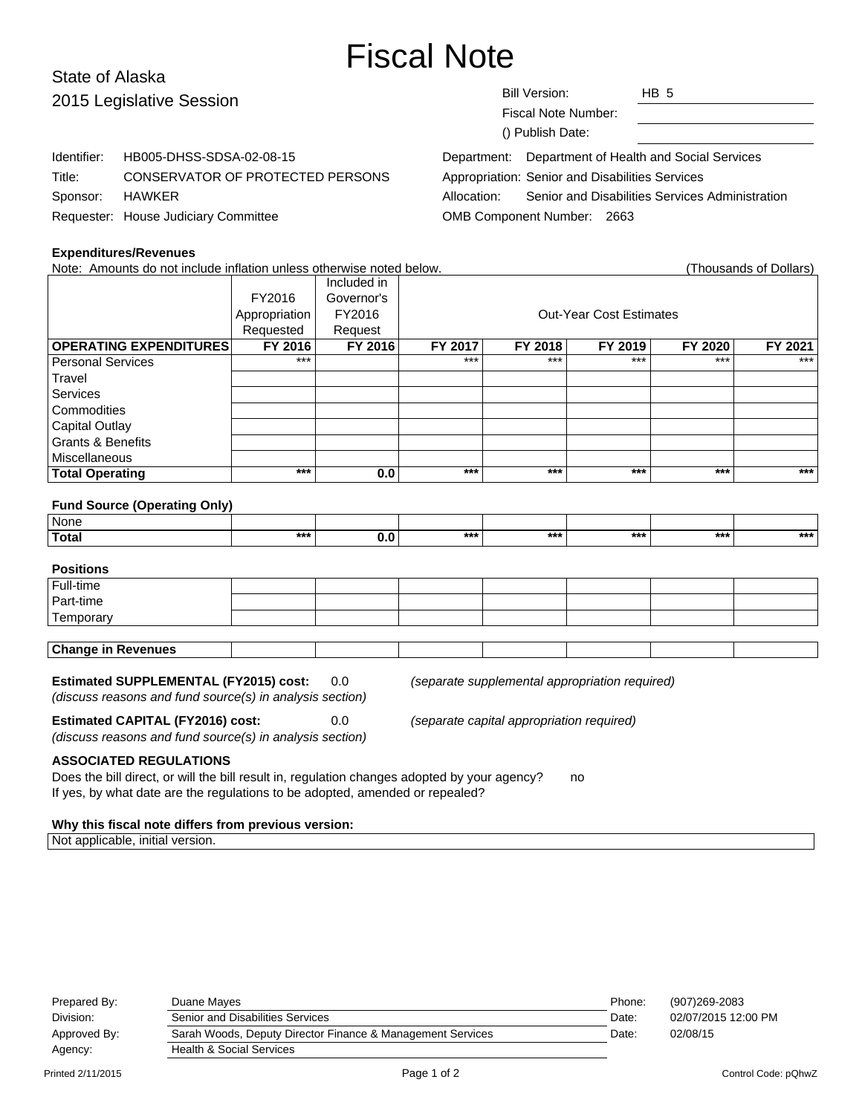# Fiscal Note

# State of Alaska 2015 Le

| 2015 Legislative Session |                                      | HB <sub>5</sub><br><b>Bill Version:</b>                        |
|--------------------------|--------------------------------------|----------------------------------------------------------------|
|                          |                                      | Fiscal Note Number:                                            |
|                          |                                      | () Publish Date:                                               |
| Identifier:              | HB005-DHSS-SDSA-02-08-15             | Department: Department of Health and Social Services           |
| Title:                   | CONSERVATOR OF PROTECTED PERSONS     | Appropriation: Senior and Disabilities Services                |
| Sponsor:                 | HAWKER                               | Senior and Disabilities Services Administration<br>Allocation: |
|                          | Requester: House Judiciary Committee | OMB Component Number: 2663                                     |

#### **Expenditures/Revenues**

Note: Amounts do not include inflation unless otherwise noted below. (Thousands of Dollars) Included in FY2016 Governor's Appropriation FY2016 | Research Cut-Year Cost Estimates Requested | Request **OPERATING EXPENDITURES FY 2016 FY 2016 FY 2017 FY 2018 FY 2019 FY 2020 FY 2021** Personal Services \*\*\* \*\*\* \*\*\* \*\*\* \*\*\* \*\*\* **Travel** Services **Commodities** Capital Outlay Grants & Benefits **Miscellaneous Total Operating \*\*\* 0.0 \*\*\* \*\*\* \*\*\* \*\*\* \*\*\***

#### **Fund Source (Operating Only)**

| <b>None</b> |       |     |     |     |     |       |
|-------------|-------|-----|-----|-----|-----|-------|
| Total       | $***$ | *** | *** | *** | *** | $***$ |

# **Positions**

| l Full-time               |  |  |  |  |  |  |  |
|---------------------------|--|--|--|--|--|--|--|
| Part-time                 |  |  |  |  |  |  |  |
| Temporary                 |  |  |  |  |  |  |  |
|                           |  |  |  |  |  |  |  |
| <b>Change in Revenues</b> |  |  |  |  |  |  |  |

#### **Estimated SUPPLEMENTAL (FY2015) cost:** 0.0 (separate supplemental appropriation required)

(discuss reasons and fund source(s) in analysis section)

**Estimated CAPITAL (FY2016) cost:** 0.0 (separate capital appropriation required)

(discuss reasons and fund source(s) in analysis section)

**ASSOCIATED REGULATIONS**

Does the bill direct, or will the bill result in, regulation changes adopted by your agency? no If yes, by what date are the regulations to be adopted, amended or repealed?

#### **Why this fiscal note differs from previous version:**

Not applicable, initial version.

| Prepared By:<br>Division: | Duane Maves<br>Senior and Disabilities Services            | Phone:<br>Date: | (907)269-2083<br>02/07/2015 12:00 PM |  |
|---------------------------|------------------------------------------------------------|-----------------|--------------------------------------|--|
| Approved By:              | Sarah Woods, Deputy Director Finance & Management Services | Date:           | 02/08/15                             |  |
| Agency:                   | Health & Social Services                                   |                 |                                      |  |
|                           |                                                            |                 |                                      |  |